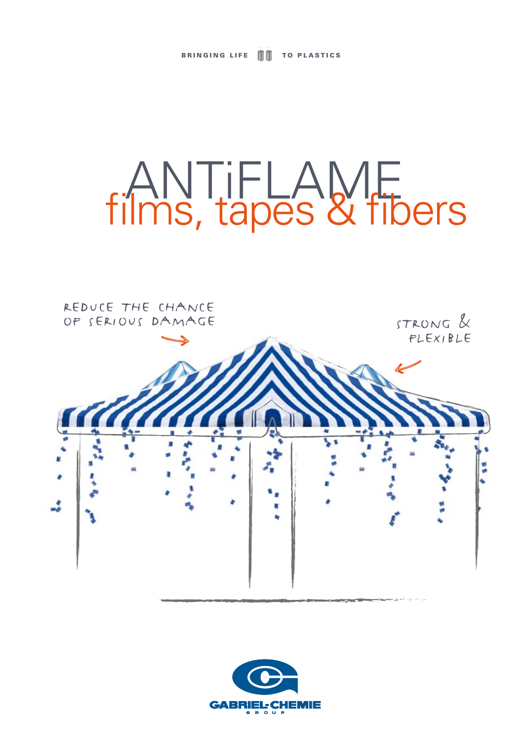# ANTiFLAME films, tapes & fibers



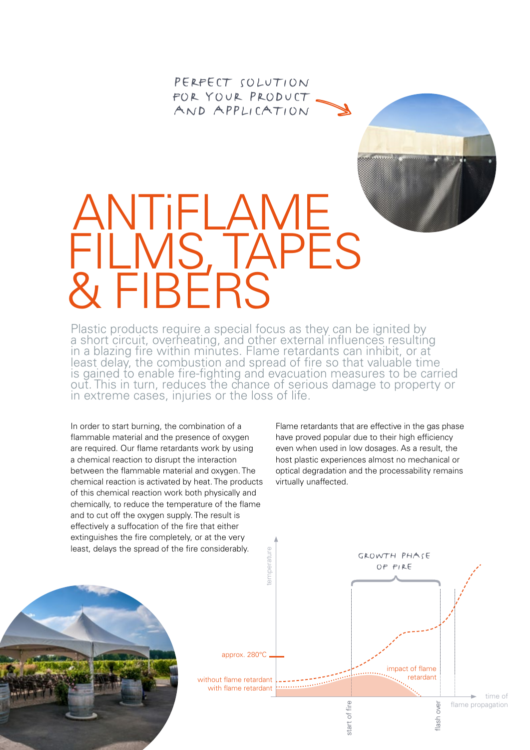PERFECT SOLUTION FOR YOUR PRODUCT and application

## ANTiFLAME FILMS, TAPES & FIBERS

Plastic products require a special focus as they can be ignited by a short circuit, overheating, and other external influences resulting in a blazing fire within minutes. Flame retardants can inhibit, or at least delay, the combustion and spread of fire so that valuable time is gained to enable fire-fighting and evacuation measures to be carried out. This in turn, reduces the chance of serious damage to property or in extreme cases, injuries or the loss of life.

In order to start burning, the combination of a flammable material and the presence of oxygen are required. Our flame retardants work by using a chemical reaction to disrupt the interaction between the flammable material and oxygen. The chemical reaction is activated by heat. The products of this chemical reaction work both physically and chemically, to reduce the temperature of the flame and to cut off the oxygen supply. The result is effectively a suffocation of the fire that either extinguishes the fire completely, or at the very least, delays the spread of the fire considerably.

Flame retardants that are effective in the gas phase have proved popular due to their high efficiency even when used in low dosages. As a result, the host plastic experiences almost no mechanical or optical degradation and the processability remains virtually unaffected.



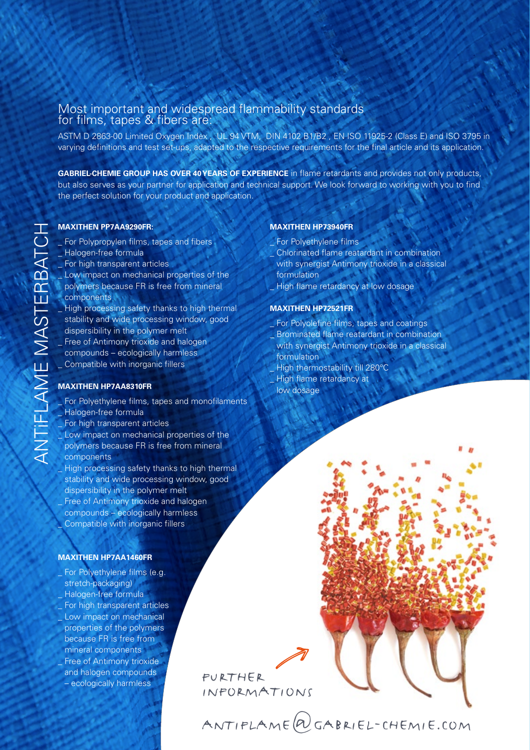### Most important and widespread flammability standards for films, tapes & fibers are:

ASTM D 2863-00 Limited Oxygen Index , UL 94 VTM, DIN 4102 B1/B2 , EN ISO 11925-2 (Class E) and ISO 3795 in varying definitions and test set-ups, adapted to the respective requirements for the final article and its application.

**GABRIEL-CHEMIE GROUP HAS OVER 40 YEARS OF EXPERIENCE** in flame retardants and provides not only products, but also serves as your partner for application and technical support. We look forward to working with you to find the perfect solution for your product and application.

- \_ For Polypropylen films, tapes and fibers
- \_ Halogen-free formula
- \_ For high transparent articles
- Low impact on mechanical properties of the
- polymers because FR is free from mineral components
- \_ High processing safety thanks to high thermal stability and wide processing window, good dispersibility in the polymer melt
- Free of Antimony trioxide and halogen compounds – ecologically harmless
- \_ Compatible with inorganic fillers

#### **MAXITHEN HP7AA8310FR**

- For Polyethylene films, tapes and monofilaments Halogen-free formula
- For high transparent articles
- Low impact on mechanical properties of the polymers because FR is free from mineral components
- High processing safety thanks to high thermal stability and wide processing window, good dispersibility in the polymer melt Free of Antimony trioxide and halogen compounds – ecologically harmless

#### **MAXITHEN HP7AA1460FR**

Compatible with inorganic fillers

For Polyethylene films (e.g. stretch-packaging) \_ Halogen-free formula For high transparent articles Low impact on mechanical properties of the polymers because FR is free from mineral components Free of Antimony trioxide and halogen compounds and halogen compounds<br>
– ecologically harmless function of the policy of the policy of the policy of the policy of the policy of the

#### **MAXITHEN HP73940FR**

- For Polyethylene films
- \_ Chlorinated flame reatardant in combination with synergist Antimony trioxide in a classical formulation
- High flame retardancy at low dosage

#### **MAXITHEN HP72521FR**

- For Polyolefine films, tapes and coatings \_ Brominated flame reatardant in combination
- with synergist Antimony trioxide in a classical formulation
- High thermostability till 280°C
- High flame retardancy at
- low dosage

informations

antiflame@gabriel-chemie.com